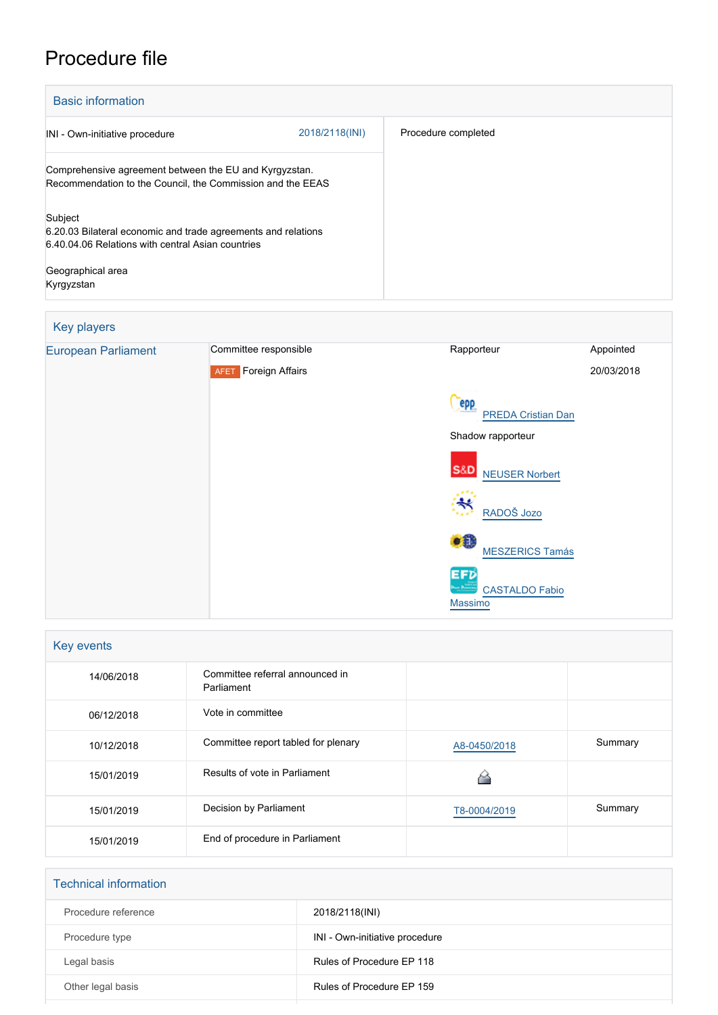## Procedure file

| <b>Basic information</b>                                                                                                                                         |                |                     |  |  |
|------------------------------------------------------------------------------------------------------------------------------------------------------------------|----------------|---------------------|--|--|
| INI - Own-initiative procedure                                                                                                                                   | 2018/2118(INI) | Procedure completed |  |  |
| Comprehensive agreement between the EU and Kyrgyzstan.<br>Recommendation to the Council, the Commission and the EEAS                                             |                |                     |  |  |
| Subject<br>6.20.03 Bilateral economic and trade agreements and relations<br>6.40.04.06 Relations with central Asian countries<br>Geographical area<br>Kyrgyzstan |                |                     |  |  |

## Key players



| Key events |                                               |              |         |  |  |
|------------|-----------------------------------------------|--------------|---------|--|--|
| 14/06/2018 | Committee referral announced in<br>Parliament |              |         |  |  |
| 06/12/2018 | Vote in committee                             |              |         |  |  |
| 10/12/2018 | Committee report tabled for plenary           | A8-0450/2018 | Summary |  |  |
| 15/01/2019 | Results of vote in Parliament                 |              |         |  |  |
| 15/01/2019 | Decision by Parliament                        | T8-0004/2019 | Summary |  |  |
| 15/01/2019 | End of procedure in Parliament                |              |         |  |  |

| <b>Technical information</b> |                                |
|------------------------------|--------------------------------|
| Procedure reference          | 2018/2118(INI)                 |
| Procedure type               | INI - Own-initiative procedure |
| Legal basis                  | Rules of Procedure EP 118      |
| Other legal basis            | Rules of Procedure EP 159      |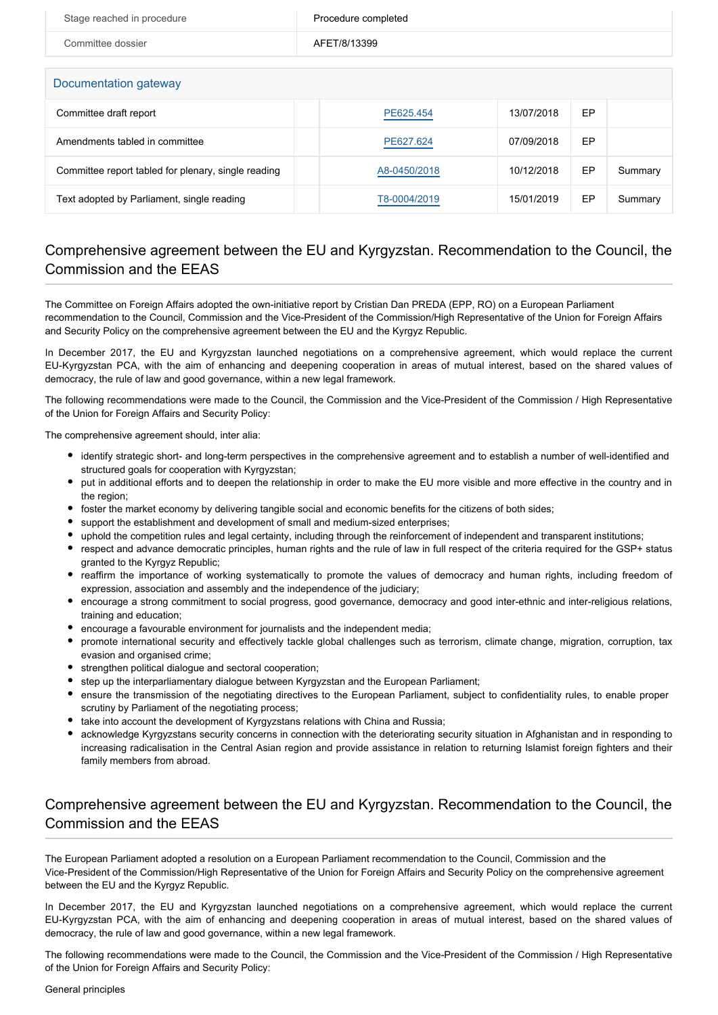| Stage reached in procedure | Procedure completed |
|----------------------------|---------------------|
| Committee dossier          | AFET/8/13399        |
| Documentation gateway      |                     |

| Committee draft report                              | PE625.454    | 13/07/2018 | EP |         |  |
|-----------------------------------------------------|--------------|------------|----|---------|--|
| Amendments tabled in committee                      | PE627.624    | 07/09/2018 | EP |         |  |
| Committee report tabled for plenary, single reading | A8-0450/2018 | 10/12/2018 | EP | Summary |  |
| Text adopted by Parliament, single reading          | T8-0004/2019 | 15/01/2019 | EP | Summary |  |

## Comprehensive agreement between the EU and Kyrgyzstan. Recommendation to the Council, the Commission and the EEAS

The Committee on Foreign Affairs adopted the own-initiative report by Cristian Dan PREDA (EPP, RO) on a European Parliament recommendation to the Council, Commission and the Vice-President of the Commission/High Representative of the Union for Foreign Affairs and Security Policy on the comprehensive agreement between the EU and the Kyrgyz Republic.

In December 2017, the EU and Kyrgyzstan launched negotiations on a comprehensive agreement, which would replace the current EU-Kyrgyzstan PCA, with the aim of enhancing and deepening cooperation in areas of mutual interest, based on the shared values of democracy, the rule of law and good governance, within a new legal framework.

The following recommendations were made to the Council, the Commission and the Vice-President of the Commission / High Representative of the Union for Foreign Affairs and Security Policy:

The comprehensive agreement should, inter alia:

- identify strategic short- and long-term perspectives in the comprehensive agreement and to establish a number of well-identified and structured goals for cooperation with Kyrgyzstan;
- put in additional efforts and to deepen the relationship in order to make the EU more visible and more effective in the country and in the region;
- foster the market economy by delivering tangible social and economic benefits for the citizens of both sides;
- support the establishment and development of small and medium-sized enterprises;
- uphold the competition rules and legal certainty, including through the reinforcement of independent and transparent institutions;
- respect and advance democratic principles, human rights and the rule of law in full respect of the criteria required for the GSP+ status granted to the Kyrgyz Republic;
- reaffirm the importance of working systematically to promote the values of democracy and human rights, including freedom of expression, association and assembly and the independence of the judiciary;
- encourage a strong commitment to social progress, good governance, democracy and good inter-ethnic and inter-religious relations, training and education;
- encourage a favourable environment for journalists and the independent media;
- promote international security and effectively tackle global challenges such as terrorism, climate change, migration, corruption, tax evasion and organised crime;
- strengthen political dialogue and sectoral cooperation;
- step up the interparliamentary dialogue between Kyrgyzstan and the European Parliament;
- ensure the transmission of the negotiating directives to the European Parliament, subject to confidentiality rules, to enable proper scrutiny by Parliament of the negotiating process;
- take into account the development of Kyrgyzstans relations with China and Russia;
- acknowledge Kyrgyzstans security concerns in connection with the deteriorating security situation in Afghanistan and in responding to increasing radicalisation in the Central Asian region and provide assistance in relation to returning Islamist foreign fighters and their family members from abroad.

## Comprehensive agreement between the EU and Kyrgyzstan. Recommendation to the Council, the Commission and the EEAS

The European Parliament adopted a resolution on a European Parliament recommendation to the Council, Commission and the Vice-President of the Commission/High Representative of the Union for Foreign Affairs and Security Policy on the comprehensive agreement between the EU and the Kyrgyz Republic.

In December 2017, the EU and Kyrgyzstan launched negotiations on a comprehensive agreement, which would replace the current EU-Kyrgyzstan PCA, with the aim of enhancing and deepening cooperation in areas of mutual interest, based on the shared values of democracy, the rule of law and good governance, within a new legal framework.

The following recommendations were made to the Council, the Commission and the Vice-President of the Commission / High Representative of the Union for Foreign Affairs and Security Policy: